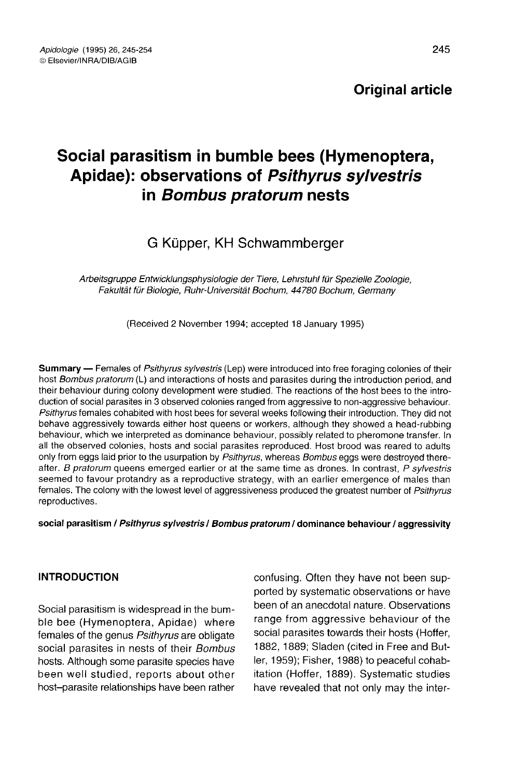## Original article

# Social parasitism in bumble bees (Hymenoptera, Apidae): observations of Psithyrus sylvestris in Bombus pratorum nests

## G Küpper, KH Schwammberger

Arbeitsgruppe Entwicklungsphysiologie der Tiere, Lehrstuhl für Spezielle Zoologie, Fakultät für Biologie, Ruhr-Universität Bochum, 44780 Bochum, Germany

(Received 2 November 1994; accepted 18 January 1995)

Summary — Females of Psithyrus sylvestris (Lep) were introduced into free foraging colonies of their host Bombus pratorum (L) and interactions of hosts and parasites during the introduction period, and their behaviour during colony development were studied. The reactions of the host bees to the introduction of social parasites in 3 observed colonies ranged from aggressive to non-aggressive behaviour. Psithyrus females cohabited with host bees for several weeks following their introduction. They did not behave aggressively towards either host queens or workers, although they showed a head-rubbing behaviour, which we interpreted as dominance behaviour, possibly related to pheromone transfer. In all the observed colonies, hosts and social parasites reproduced. Host brood was reared to adults only from eggs laid prior to the usurpation by Psithyrus, whereas Bombus eggs were destroyed thereafter. B pratorum queens emerged earlier or at the same time as drones. In contrast, P sylvestris seemed to favour protandry as a reproductive strategy, with an earlier emergence of males than females. The colony with the lowest level of aggressiveness produced the greatest number of Psithyrus reproductives.

### social parasitism / Psithyrus sylvestris / Bombus pratorum / dominance behaviour / aggressivity

## INTRODUCTION

Social parasitism is widespread in the bumble bee (Hymenoptera, Apidae) where females of the genus Psithyrus are obligate social parasites in nests of their Bombus hosts. Although some parasite species have been well studied, reports about other host-parasite relationships have been rather confusing. Often they have not been supported by systematic observations or have been of an anecdotal nature. Observations range from aggressive behaviour of the social parasites towards their hosts (Hoffer, 1882, 1889; Sladen (cited in Free and Butler, 1959); Fisher, 1988) to peaceful cohabitation (Hoffer, 1889). Systematic studies have revealed that not only may the inter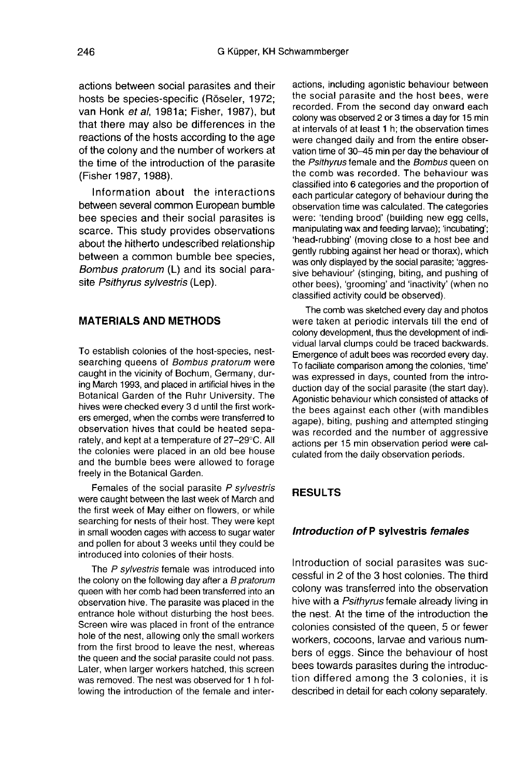actions between social parasites and their hosts be species-specific (Röseler, 1972; van Honk et al, 1981a; Fisher, 1987), but that there may also be differences in the reactions of the hosts according to the age of the colony and the number of workers at the time of the introduction of the parasite (Fisher 1987,1988).

Information about the interactions between several common European bumble bee species and their social parasites is scarce. This study provides observations about the hitherto undescribed relationship between a common bumble bee species, Bombus pratorum (L) and its social parasite Psithyrus sylvestris (Lep).

## MATERIALS AND METHODS

To establish colonies of the host-species, nestsearching queens of Bombus pratorum were caught in the vicinity of Bochum, Germany, during March 1993, and placed in artificial hives in the Botanical Garden of the Ruhr University. The hives were checked every 3 d until the first workers emerged, when the combs were transferred to observation hives that could be heated separately, and kept at a temperature of 27-29°C. All the colonies were placed in an old bee house and the bumble bees were allowed to forage freely in the Botanical Garden.

Females of the social parasite P sylvestris were caught between the last week of March and the first week of May either on flowers, or while searching for nests of their host. They were kept in small wooden cages with access to sugar water and pollen for about 3 weeks until they could be introduced into colonies of their hosts.

The P sylvestris female was introduced into the colony on the following day after a B pratorum queen with her comb had been transferred into an observation hive. The parasite was placed in the entrance hole without disturbing the host bees. Screen wire was placed in front of the entrance hole of the nest, allowing only the small workers from the first brood to leave the nest, whereas the queen and the social parasite could not pass. Later, when larger workers hatched, this screen was removed. The nest was observed for 1 h following the introduction of the female and interactions, including agonistic behaviour between the social parasite and the host bees, were recorded. From the second day onward each colony was observed 2 or 3 times a day for 15 min at intervals of at least 1 h; the observation times were changed daily and from the entire observation time of 30-45 min per day the behaviour of the Psithyrus female and the Bombus queen on the comb was recorded. The behaviour was classified into 6 categories and the proportion of each particular category of behaviour during the observation time was calculated. The categories were: 'tending brood' (building new egg cells, manipulating wax and feeding larvae); 'incubating'; 'head-rubbing' (moving close to a host bee and gently rubbing against her head or thorax), which was only displayed by the social parasite; 'aggressive behaviour' (stinging, biting, and pushing of other bees), 'grooming' and 'inactivity' (when no classified activity could be observed).

The comb was sketched every day and photos were taken at periodic intervals till the end of colony development, thus the development of individual larval clumps could be traced backwards. Emergence of adult bees was recorded every day. To faciliate comparison among the colonies, 'time' was expressed in days, counted from the introduction day of the social parasite (the start day). Agonistic behaviour which consisted of attacks of the bees against each other (with mandibles agape), biting, pushing and attempted stinging was recorded and the number of aggressive actions per 15 min observation period were calculated from the daily observation periods.

## RESULTS

## Introduction of P sylvestris females

Introduction of social parasites was successful in 2 of the 3 host colonies. The third colony was transferred into the observation hive with a *Psithyrus* female already living in the nest. At the time of the introduction the colonies consisted of the queen, 5 or fewer workers, cocoons, larvae and various numbers of eggs. Since the behaviour of host bees towards parasites during the introduction differed among the 3 colonies, it is described in detail for each colony separately.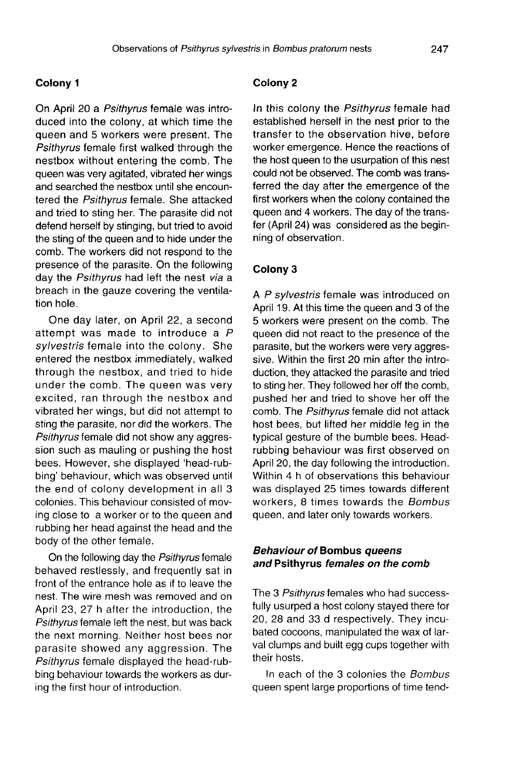### Colony 1

On April 20 a Psithyrus female was introduced into the colony, at which time the queen and 5 workers were present. The Psithyrus female first walked through the nestbox without entering the comb. The queen was very agitated, vibrated her wings and searched the nestbox until she encountered the Psithyrus female. She attacked and tried to sting her. The parasite did not defend herself by stinging, but tried to avoid the sting of the queen and to hide under the comb. The workers did not respond to the presence of the parasite. On the following day the Psithyrus had left the nest via a breach in the gauze covering the ventilation hole.

One day later, on April 22, a second attempt was made to introduce a P sylvestris female into the colony. She entered the nestbox immediately, walked through the nestbox, and tried to hide under the comb. The queen was very excited, ran through the nestbox and vibrated her wings, but did not attempt to sting the parasite, nor did the workers. The Psithyrus female did not show any aggression such as mauling or pushing the host bees. However, she displayed 'head-rubbing' behaviour, which was observed until the end of colony development in all 3 colonies. This behaviour consisted of moving close to a worker or to the queen and rubbing her head against the head and the body of the other female.

On the following day the Psithyrus female behaved restlessly, and frequently sat in front of the entrance hole as if to leave the nest. The wire mesh was removed and on April 23, 27 h after the introduction, the Psithyrus female left the nest, but was back the next morning. Neither host bees nor parasite showed any aggression. The Psithyrus female displayed the head-rubbing behaviour towards the workers as during the first hour of introduction.

## Colony 2

In this colony the Psithyrus female had established herself in the nest prior to the transfer to the observation hive, before worker emergence. Hence the reactions of the host queen to the usurpation of this nest could not be observed. The comb was transferred the day after the emergence of the first workers when the colony contained the queen and 4 workers. The day of the transfer (April 24) was considered as the beginning of observation.

## Colony 3

A P sylvestris female was introduced on April 19. At this time the queen and 3 of the 5 workers were present on the comb. The queen did not react to the presence of the parasite, but the workers were very aggressive. Within the first 20 min after the introduction, they attacked the parasite and tried to sting her. They followed her off the comb, pushed her and tried to shove her off the comb. The Psithyrus female did not attack host bees, but lifted her middle leg in the typical gesture of the bumble bees. Headrubbing behaviour was first observed on April 20, the day following the introduction. Within 4 h of observations this behaviour was displayed 25 times towards different workers, 8 times towards the Bombus queen, and later only towards workers.

## Behaviour of Bombus queens and Psithyrus females on the comb

The 3 Psithyrus females who had successfully usurped a host colony stayed there for 20, 28 and 33 d respectively. They incubated cocoons, manipulated the wax of larval clumps and built egg cups together with their hosts.

In each of the 3 colonies the Bombus queen spent large proportions of time tend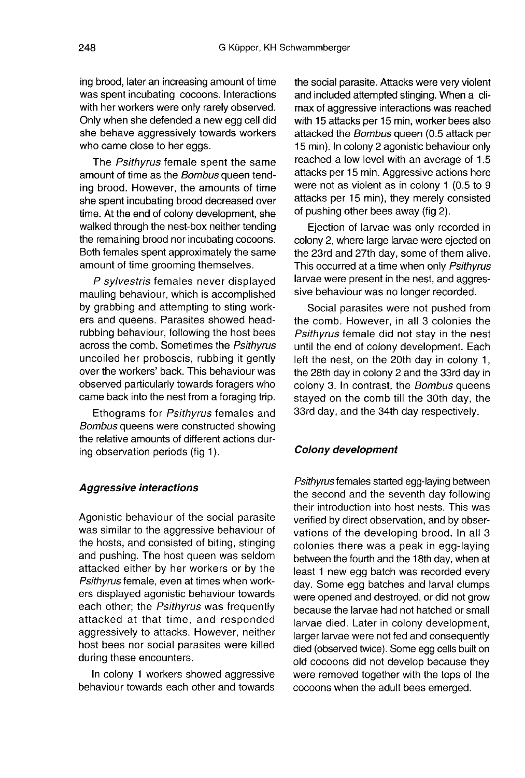ing brood, later an increasing amount of time was spent incubating cocoons. Interactions with her workers were only rarely observed. Only when she defended a new egg cell did she behave aggressively towards workers who came close to her eggs.

The Psithyrus female spent the same amount of time as the Bombus queen tending brood. However, the amounts of time she spent incubating brood decreased over time. At the end of colony development, she walked through the nest-box neither tending the remaining brood nor incubating cocoons. Both females spent approximately the same amount of time grooming themselves.

P sylvestris females never displayed mauling behaviour, which is accomplished by grabbing and attempting to sting workers and queens. Parasites showed headrubbing behaviour, following the host bees across the comb. Sometimes the Psithyrus uncoiled her proboscis, rubbing it gently over the workers' back. This behaviour was observed particularly towards foragers who came back into the nest from a foraging trip.

Ethograms for Psithyrus females and Bombus queens were constructed showing the relative amounts of different actions during observation periods (fig 1).

#### Aggressive interactions

Agonistic behaviour of the social parasite was similar to the aggressive behaviour of the hosts, and consisted of biting, stinging and pushing. The host queen was seldom attacked either by her workers or by the Psithyrus female, even at times when workers displayed agonistic behaviour towards each other; the Psithyrus was frequently attacked at that time, and responded aggressively to attacks. However, neither host bees nor social parasites were killed during these encounters.

In colony 1 workers showed aggressive behaviour towards each other and towards the social parasite. Attacks were very violent and included attempted stinging. When a climax of aggressive interactions was reached with 15 attacks per 15 min, worker bees also attacked the Bombus queen (0.5 attack per 15 min). In colony 2 agonistic behaviour only reached a low level with an average of 1.5 attacks per 15 min. Aggressive actions here were not as violent as in colony 1 (0.5 to 9 attacks per 15 min), they merely consisted of pushing other bees away (fig 2).

Ejection of larvae was only recorded in colony 2, where large larvae were ejected on the 23rd and 27th day, some of them alive. This occurred at a time when only Psithyrus larvae were present in the nest, and aggressive behaviour was no longer recorded.

Social parasites were not pushed from the comb. However, in all 3 colonies the Psithyrus female did not stay in the nest until the end of colony development. Each left the nest, on the 20th day in colony 1, the 28th day in colony 2 and the 33rd day in colony 3. In contrast, the Bombus queens stayed on the comb till the 30th day, the 33rd day, and the 34th day respectively.

#### Colony development

Psithyrus females started egg-laying between the second and the seventh day following their introduction into host nests. This was verified by direct observation, and by observations of the developing brood. In all 3 colonies there was a peak in egg-laying between the fourth and the 18th day, when at least 1 new egg batch was recorded every day. Some egg batches and larval clumps were opened and destroyed, or did not grow because the larvae had not hatched or small larvae died. Later in colony development, larger larvae were not fed and consequently died (observed twice). Some egg cells built on old cocoons did not develop because they were removed together with the tops of the cocoons when the adult bees emerged.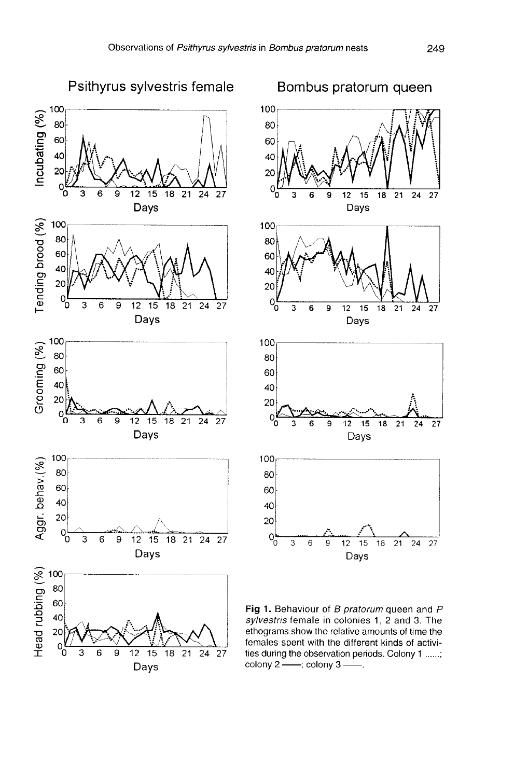

٩ 6  $\mathbf{C}$  $12$ 15 18  $21$  $24$  $27$ 

Days

 $15$ 18  $21$ 24 27 Days  $\overline{21}$ 15 18 24 27 Days 15 18  $\overline{24}$  $\overline{27}$  $21$ Days 15  $\overline{18}$  $\overline{21}$  $\overline{24}$  $\overline{27}$ Days

Fig 1. Behaviour of B pratorum queen and P sylvestris female in colonies 1, 2 and 3. The ethograms show the relative amounts of time the females spent with the different kinds of activities during the observation periods. Colony 1 ......; colony  $2 \longrightarrow$ ; colony  $3 \longrightarrow$  $\overline{\phantom{a}}$ .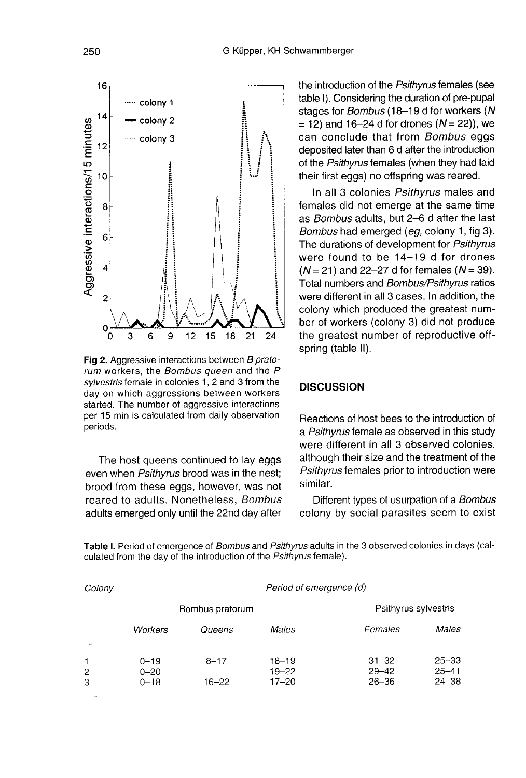

Fig 2. Aggressive interactions between B pratorum workers, the Bombus queen and the P sylvestris female in colonies 1, 2 and 3 from the day on which aggressions between workers started. The number of aggressive interactions per 15 min is calculated from daily observation periods.

The host queens continued to lay eggs even when Psithyrus brood was in the nest; brood from these eggs, however, was not reared to adults. Nonetheless, Bombus adults emerged only until the 22nd day after the introduction of the Psithyrus females (see table I). Considering the duration of pre-pupal stages for Bombus (18-19 d for workers (N  $= 12$ ) and 16-24 d for drones ( $N = 22$ )), we can conclude that from Bombus eggs deposited later than 6 d after the introduction of the Psithyrus females (when they had laid their first eggs) no offspring was reared.

In all 3 colonies Psithyrus males and females did not emerge at the same time as Bombus adults, but 2-6 d after the last Bombus had emerged (eg, colony 1, fig 3). The durations of development for Psithyrus were found to be 14-19 d for drones  $(N = 21)$  and 22-27 d for females  $(N = 39)$ . Total numbers and Bombus/Psithyrus ratios were different in all 3 cases. In addition, the colony which produced the greatest number of workers (colony 3) did not produce the greatest number of reproductive offspring (table II).

### **DISCUSSION**

Reactions of host bees to the introduction of a Psithyrus female as observed in this study were different in all 3 observed colonies, although their size and the treatment of the Psithyrus females prior to introduction were similar.

Different types of usurpation of a Bombus colony by social parasites seem to exist

Table I. Period of emergence of Bombus and Psithyrus adults in the 3 observed colonies in days (calculated from the day of the introduction of the Psithyrus female).

| Colony   | Period of emergence (d)          |                            |                                     |                                     |                                     |  |
|----------|----------------------------------|----------------------------|-------------------------------------|-------------------------------------|-------------------------------------|--|
|          |                                  | Bombus pratorum            |                                     |                                     | Psithyrus sylvestris                |  |
| $\cdots$ | Workers                          | <i>Queens</i>              | Males                               | Females                             | Males                               |  |
| 2<br>3   | $0 - 19$<br>$0 - 20$<br>$0 - 18$ | $8 - 17$<br>-<br>$16 - 22$ | $18 - 19$<br>$19 - 22$<br>$17 - 20$ | $31 - 32$<br>$29 - 42$<br>$26 - 36$ | $25 - 33$<br>$25 - 41$<br>$24 - 38$ |  |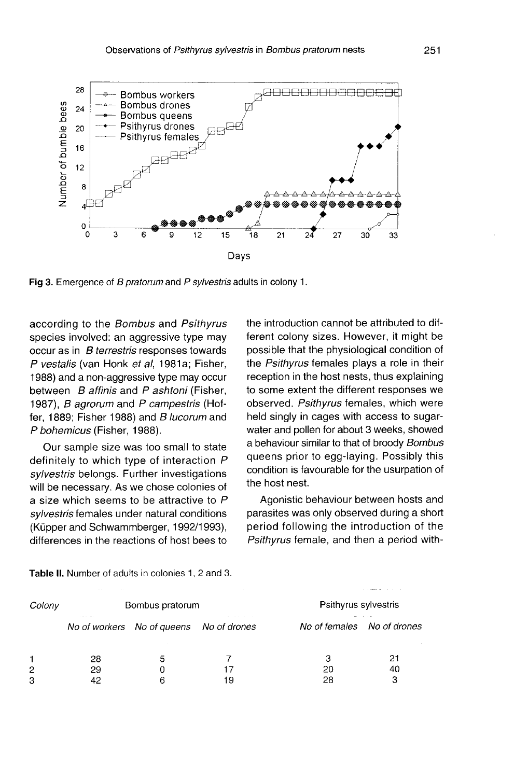

Fig 3. Emergence of B pratorum and P sylvestris adults in colony 1.

according to the Bombus and Psithyrus species involved: an aggressive type may occur as in B terrestris responses towards P vestalis (van Honk et al, 1981a; Fisher, 1988) and a non-aggressive type may occur between B affinis and P ashtoni (Fisher, 1987), *B agrorum* and *P campestris* (Hoffer, 1889; Fisher 1988) and B lucorum and P bohemicus (Fisher, 1988).

Our sample size was too small to state definitely to which type of interaction P sylvestris belongs. Further investigations will be necessary. As we chose colonies of a size which seems to be attractive to P sylvestris females under natural conditions (Küpper and Schwammberger, 1992/1993), differences in the reactions of host bees to the introduction cannot be attributed to different colony sizes. However, it might be possible that the physiological condition of the Psithyrus females plays a role in their reception in the host nests, thus explaining to some extent the different responses we observed. Psithyrus females, which were held singly in cages with access to sugarwater and pollen for about 3 weeks, showed a behaviour similar to that of broody Bombus queens prior to egg-laying. Possibly this condition is favourable for the usurpation of the host nest.

Agonistic behaviour between hosts and parasites was only observed during a short period following the introduction of the Psithyrus female, and then a period with-

| Colony | Bombus pratorum |                                         |    | Psithyrus sylvestris       |    |
|--------|-----------------|-----------------------------------------|----|----------------------------|----|
|        |                 | No of workers No of queens No of drones |    | No of females No of drones |    |
|        | 28              | 5                                       |    |                            | 21 |
| 2      | 29              |                                         | 17 | 20                         | 40 |
| 3      | 42              |                                         | 19 | 28                         | з  |

Table II. Number of adults in colonies 1, 2 and 3.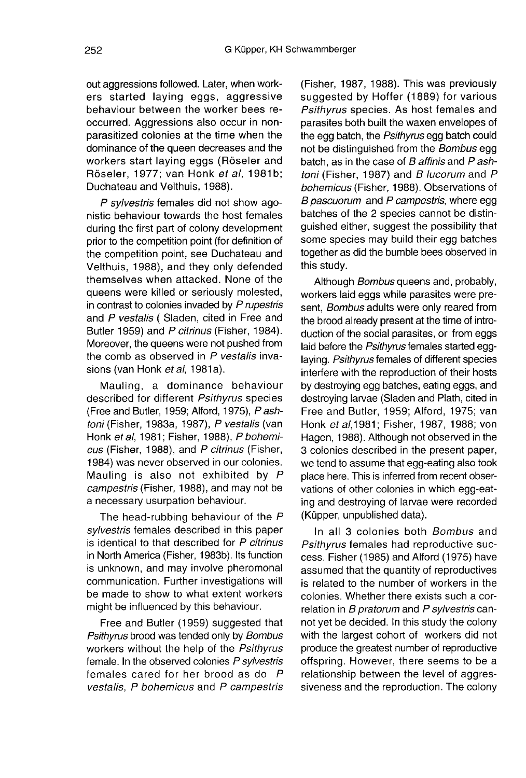out aggressions followed. Later, when workers started laying eggs, aggressive behaviour between the worker bees reoccurred. Aggressions also occur in nonparasitized colonies at the time when the dominance of the queen decreases and the workers start laying eggs (Röseler and Röseler, 1977; van Honk et al, 1981b; Duchateau and Velthuis, 1988).

P sylvestris females did not show agonistic behaviour towards the host females during the first part of colony development prior to the competition point (for definition of the competition point, see Duchateau and Velthuis, 1988), and they only defended themselves when attacked. None of the queens were killed or seriously molested, in contrast to colonies invaded by P rupestris and P vestalis ( Sladen, cited in Free and Butler 1959) and P citrinus (Fisher, 1984). Moreover, the queens were not pushed from the comb as observed in P vestalis invasions (van Honk et al, 1981a).

Mauling, a dominance behaviour described for different Psithyrus species (Free and Butler, 1959; Alford, 1975), P ashtoni (Fisher, 1983a, 1987), P vestalis (van Honk et al, 1981; Fisher, 1988), P bohemicus (Fisher, 1988), and P citrinus (Fisher, 1984) was never observed in our colonies. Mauling is also not exhibited by P campestris (Fisher, 1988), and may not be a necessary usurpation behaviour.

The head-rubbing behaviour of the  $P$ sylvestris females described in this paper is identical to that described for P citrinus in North America (Fisher, 1983b). Its function is unknown, and may involve pheromonal communication. Further investigations will be made to show to what extent workers might be influenced by this behaviour.

Free and Butler (1959) suggested that Psithyrus brood was tended only by Bombus workers without the help of the Psithyrus female. In the observed colonies P sylvestris females cared for her brood as do P vestalis, P bohemicus and P campestris

(Fisher, 1987, 1988). This was previously suggested by Hoffer (1889) for various Psithyrus species. As host females and parasites both built the waxen envelopes of the egg batch, the Psithyrus egg batch could not be distinguished from the *Bombus* egg batch, as in the case of  $B$  affinis and  $P$  ashtoni (Fisher, 1987) and B lucorum and P bohemicus (Fisher, 1988). Observations of B pascuorum and P campestris, where egg batches of the 2 species cannot be distinguished either, suggest the possibility that some species may build their egg batches together as did the bumble bees observed in this study.

Although Bombus queens and, probably, workers laid eggs while parasites were present, Bombus adults were only reared from the brood already present at the time of introduction of the social parasites, or from eggs laid before the Psithyrus females started egglaying. Psithyrus females of different species interfere with the reproduction of their hosts by destroying egg batches, eating eggs, and destroying larvae (Sladen and Plath, cited in Free and Butler, 1959; Alford, 1975; van Honk et al, 1981; Fisher, 1987, 1988; von Hagen, 1988). Although not observed in the 3 colonies described in the present paper, we tend to assume that egg-eating also took place here. This is inferred from recent observations of other colonies in which egg-eating and destroying of larvae were recorded (Küpper, unpublished data).

In all 3 colonies both Bombus and Psithyrus females had reproductive success. Fisher (1985) and Alford (1975) have assumed that the quantity of reproductives is related to the number of workers in the colonies. Whether there exists such a correlation in B pratorum and P sylvestris cannot yet be decided. In this study the colony with the largest cohort of workers did not produce the greatest number of reproductive offspring. However, there seems to be a relationship between the level of aggressiveness and the reproduction. The colony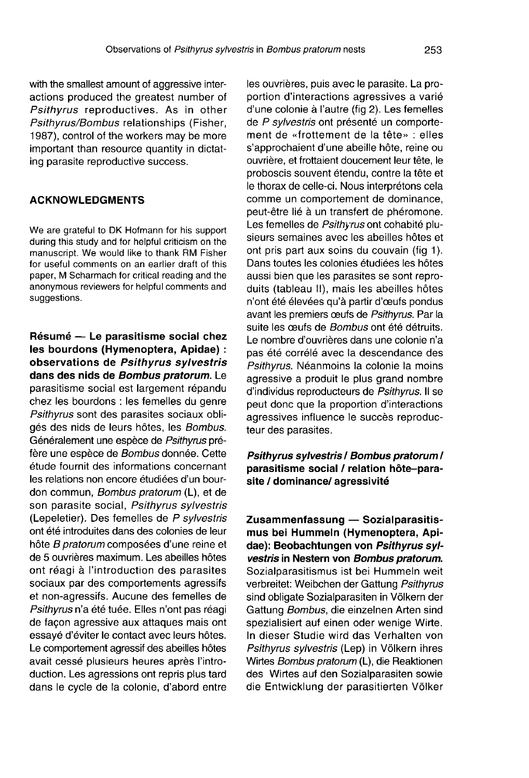with the smallest amount of aggressive interactions produced the greatest number of Psithyrus reproductives. As in other Psithyrus/Bombus relationships (Fisher, 1987), control of the workers may be more important than resource quantity in dictating parasite reproductive success.

#### ACKNOWLEDGMENTS

We are grateful to DK Hofmann for his support during this study and for helpful criticism on the manuscript. We would like to thank RM Fisher for useful comments on an earlier draft of this paper, M Scharmach for critical reading and the anonymous reviewers for helpful comments and suggestions.

Résumé — Le parasitisme social chez les bourdons (Hymenoptera, Apidae) : observations de Psithyrus sylvestris dans des nids de Bombus pratorum. Le parasitisme social est largement répandu chez les bourdons : les femelles du genre Psithyrus sont des parasites sociaux obligés des nids de leurs hôtes, les Bombus. Généralement une espèce de Psithyrus préfère une espèce de Bombus donnée. Cette étude fournit des informations concernant les relations non encore étudiées d'un bourdon commun, Bombus pratorum (L), et de son parasite social, Psithyrus sylvestris (Lepeletier). Des femelles de P sylvestris ont été introduites dans des colonies de leur hôte B pratorum composées d'une reine et de 5 ouvrières maximum. Les abeilles hôtes ont réagi à l'introduction des parasites sociaux par des comportements agressifs et non-agressifs. Aucune des femelles de Psithyrus n'a été tuée. Elles n'ont pas réagi de façon agressive aux attaques mais ont essayé d'éviter le contact avec leurs hôtes. Le comportement agressif des abeilles hôtes avait cessé plusieurs heures après l'introduction. Les agressions ont repris plus tard dans le cycle de la colonie, d'abord entre

les ouvrières, puis avec le parasite. La proportion d'interactions agressives a varié d'une colonie à l'autre (fig 2). Les femelles de P sylvestris ont présenté un comporte ment de «frottement de la tête» : elles s'approchaient d'une abeille hôte, reine ou ouvrière, et frottaient doucement leur tête, le proboscis souvent étendu, contre la tête et le thorax de celle-ci. Nous interprétons cela comme un comportement de dominance, peut-être lié à un transfert de phéromone. Les femelles de Psithyrus ont cohabité plusieurs semaines avec les abeilles hôtes et ont pris part aux soins du couvain (fig 1). Dans toutes les colonies étudiées les hôtes aussi bien que les parasites se sont reproduits (tableau II), mais les abeilles hôtes n'ont été élevées qu'à partir d'œufs pondus avant les premiers œufs de Psithyrus. Par la suite les œufs de Bombus ont été détruits. Le nombre d'ouvrières dans une colonie n'a pas été corrélé avec la descendance des Psithyrus. Néanmoins la colonie la moins agressive a produit le plus grand nombre d'individus reproducteurs de Psithyrus. Il se peut donc que la proportion d'interactions agressives influence le succès reproducteur des parasites.

## Psithyrus sylvestris / Bombus pratorum / parasitisme social / relation hôte-parasite / dominance/ agressivité

Zusammenfassung — Sozialparasitis- mus bei Hummeln (Hymenoptera, Apidae): Beobachtungen von Psithyrus sylvestris in Nestern von Bombus pratorum. Sozialparasitismus ist bei Hummeln weit verbreitet: Weibchen der Gattung Psithyrus sind obligate Sozialparasiten in Völkern der Gattung Bombus, die einzelnen Arten sind spezialisiert auf einen oder wenige Wirte. In dieser Studie wird das Verhalten von Psithyrus sylvestris (Lep) in Völkern ihres Wirtes Bombus pratorum (L), die Reaktionen des Wirtes auf den Sozialparasiten sowie die Entwicklung der parasitierten Völker